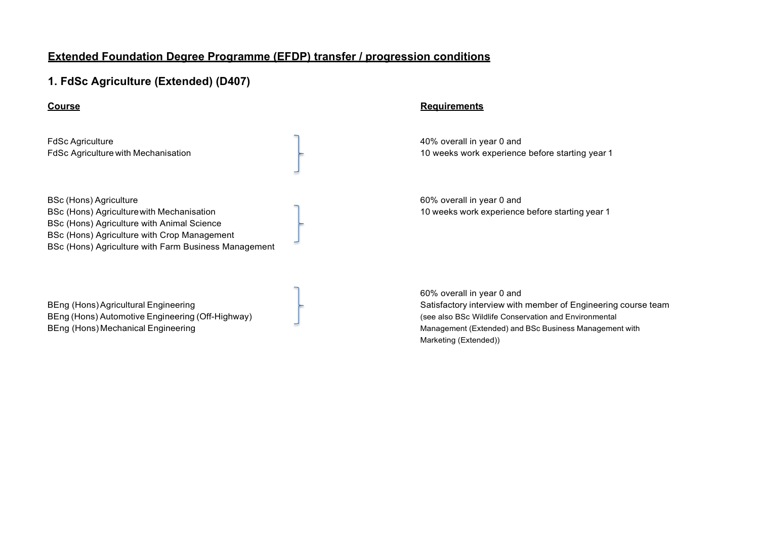# **1. FdSc Agriculture (Extended) (D407)**

FdSc Agriculture **40% overall in year 0 and** 

BSc (Hons) Agriculture 60% overall in year 0 and BSc (Hons) Agriculture with Mechanisation 10 weeks work experience before starting year 1 BSc (Hons) Agriculture with Animal Science BSc (Hons) Agriculture with Crop Management BSc (Hons) Agriculture with Farm Business Management

BEng (Hons) Automotive Engineering (Off-Highway) and the state of the state of the state of the state of the state of the state of the state of the state of the state of the state of the state of the state of the state of

### **Course Requirements**

FdSc Agriculture with Mechanisation 10 weeks work experience before starting year 1

60% overall in year 0 and BEng (Hons) Agricultural Engineering Satisfactory interview with member of Engineering course team BEng (Hons) Mechanical Engineering Management (Extended) and BSc Business Management with Marketing (Extended))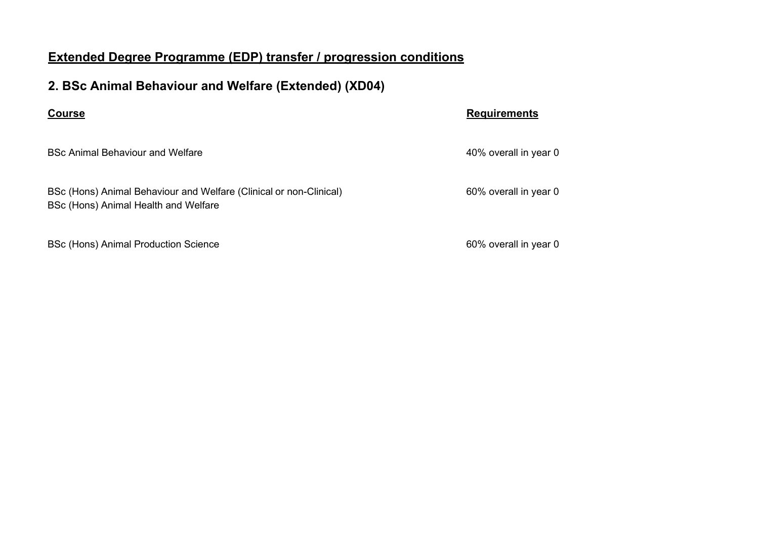# **2. BSc Animal Behaviour and Welfare (Extended) (XD04)**

BSc Animal Behaviour and Welfare 40% overall in year 0

BSc (Hons) Animal Behaviour and Welfare (Clinical or non-Clinical) 60% overall in year 0 BSc (Hons) Animal Health and Welfare

BSc (Hons) Animal Production Science 60% overall in year 0

## **Course Requirements**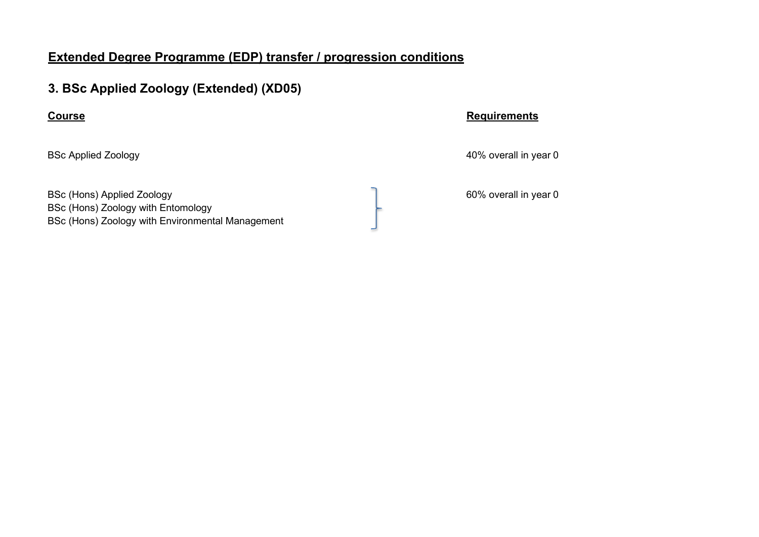# **3. BSc Applied Zoology (Extended) (XD05)**

BSc (Hons) Applied Zoology **60%** overall in year 0 BSc (Hons) Zoology with Entomology BSc (Hons) Zoology with Environmental Management

**Course Requirements** 

BSc Applied Zoology **Accord 200** and 200 and 200 and 200 and 200 and 200 and 200 and 200 and 200 and 200 and 200 and 200 and 200 and 200 and 200 and 200 and 200 and 200 and 200 and 200 and 200 and 200 and 200 and 200 and 2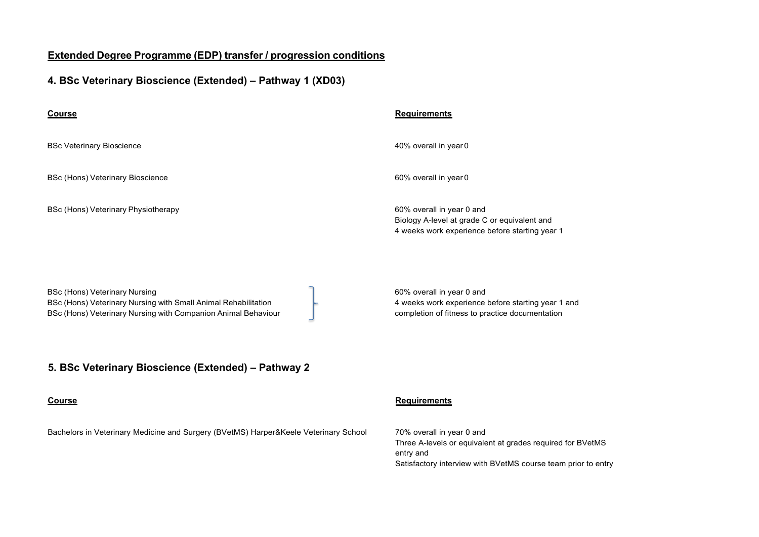## **4. BSc Veterinary Bioscience (Extended) – Pathway 1 (XD03)**

| <b>Course</b>                                                                                                                                                           | <b>Requirements</b>                                                                                                                |
|-------------------------------------------------------------------------------------------------------------------------------------------------------------------------|------------------------------------------------------------------------------------------------------------------------------------|
| <b>BSc Veterinary Bioscience</b>                                                                                                                                        | 40% overall in year 0                                                                                                              |
| BSc (Hons) Veterinary Bioscience                                                                                                                                        | 60% overall in year 0                                                                                                              |
| BSc (Hons) Veterinary Physiotherapy                                                                                                                                     | 60% overall in year 0 and<br>Biology A-level at grade C or equivalent and<br>4 weeks work experience before starting year 1        |
| <b>BSc (Hons) Veterinary Nursing</b><br>BSc (Hons) Veterinary Nursing with Small Animal Rehabilitation<br>BSc (Hons) Veterinary Nursing with Companion Animal Behaviour | 60% overall in year 0 and<br>4 weeks work experience before starting year 1 and<br>completion of fitness to practice documentation |
| 5. BSc Veterinary Bioscience (Extended) - Pathway 2                                                                                                                     |                                                                                                                                    |

### **Course**

Bachelors in Veterinary Medicine and Surgery (BVetMS) Harper&Keele Veterinary School

### **Requirements**

70% overall in year 0 and Three A-levels or equivalent at grades required for BVetMS entry and Satisfactory interview with BVetMS course team prior to entry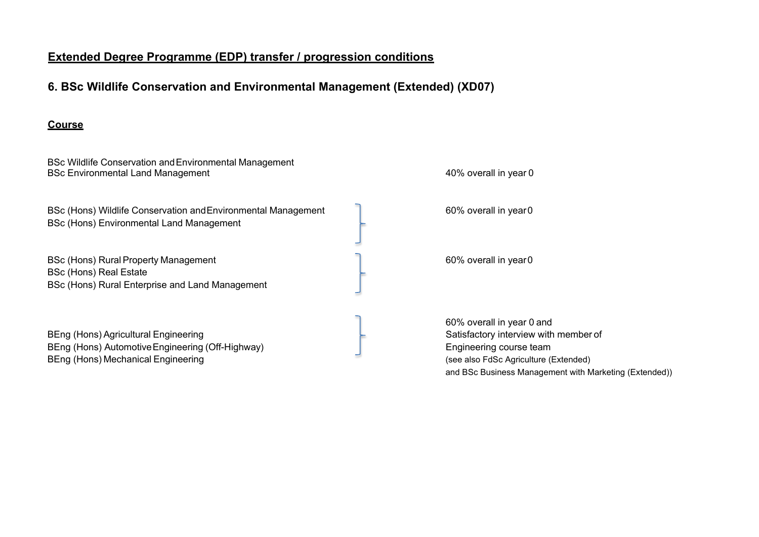# **6. BSc Wildlife Conservation and Environmental Management (Extended) (XD07)**

### **Course**

BSc Wildlife Conservation andEnvironmental Management BSc Environmental Land Management **According to the Contract of Contract According to the 40% overall in year 0** 

BSc (Hons) Wildlife Conservation and Environmental Management 60% overall in year 0 BSc (Hons) Environmental Land Management

BSc (Hons) Rural Property Management 60% overall in year 0 BSc (Hons) Real Estate BSc (Hons) Rural Enterprise and Land Management

BEng (Hons) Agricultural Engineering Satisfactory interview with member of BEng (Hons) Automotive Engineering (Off-Highway) Engineering course team BEng (Hons) Mechanical Engineering and the state of the state of the state (see also FdSc Agriculture (Extended)

60% overall in year 0 and and BSc Business Management with Marketing (Extended))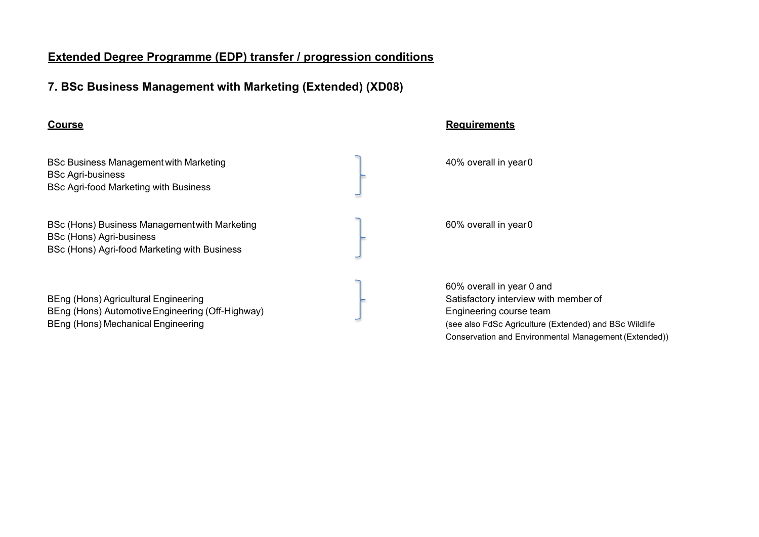# **7. BSc Business Management with Marketing (Extended) (XD08)**

BSc Business Management with Marketing and the state of the 40% overall in year 0 BSc Agri-business BSc Agri-food Marketing with Business

BSc (Hons) Business Management with Marketing **EXEC 100 SOME CONSERVING** 60% overall in year 0 BSc (Hons) Agri-business BSc (Hons) Agri-food Marketing with Business

BEng (Hons) Agricultural Engineering Satisfactory interview with member of BEng (Hons) Automotive Engineering (Off-Highway) **Engineering course team** BEng (Hons) Mechanical Engineering **State Agriculture (Extended)** and BSc Wildlife

### **Course Requirements**

60% overall in year 0 and Conservation and Environmental Management (Extended))